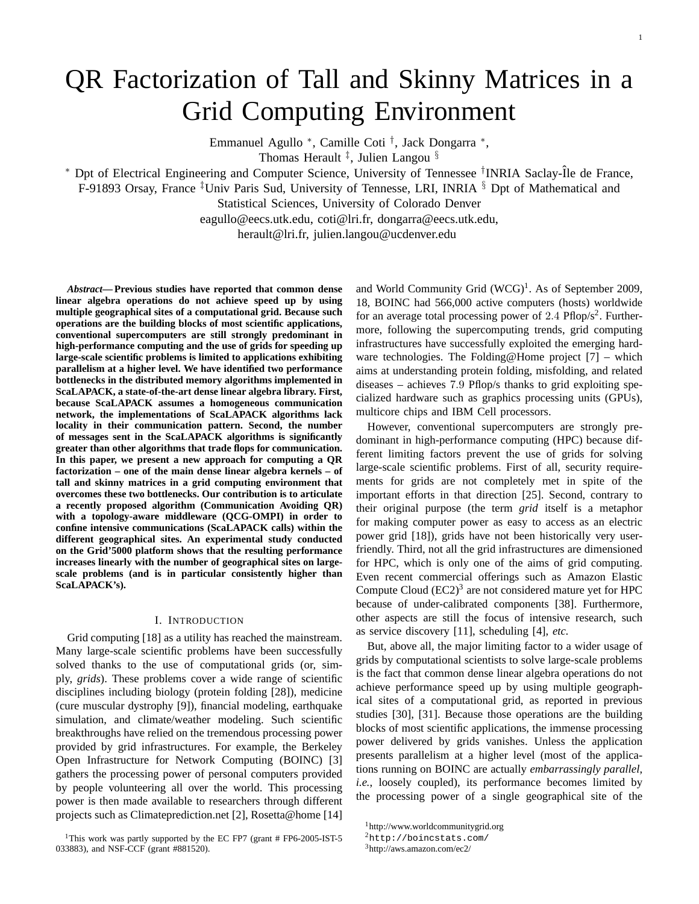# QR Factorization of Tall and Skinny Matrices in a Grid Computing Environment

Emmanuel Agullo <sup>∗</sup> , Camille Coti † , Jack Dongarra <sup>∗</sup> ,

Thomas Herault<sup>‡</sup>, Julien Langou<sup>§</sup>

\* Dpt of Electrical Engineering and Computer Science, University of Tennessee <sup>†</sup>INRIA Saclay-Île de France,

F-91893 Orsay, France ‡Univ Paris Sud, University of Tennesse, LRI, INRIA § Dpt of Mathematical and

Statistical Sciences, University of Colorado Denver

eagullo@eecs.utk.edu, coti@lri.fr, dongarra@eecs.utk.edu, herault@lri.fr, julien.langou@ucdenver.edu

*Abstract***— Previous studies have reported that common dense linear algebra operations do not achieve speed up by using multiple geographical sites of a computational grid. Because such operations are the building blocks of most scientific applications, conventional supercomputers are still strongly predominant in high-performance computing and the use of grids for speeding up large-scale scientific problems is limited to applications exhibiting parallelism at a higher level. We have identified two performance bottlenecks in the distributed memory algorithms implemented in ScaLAPACK, a state-of-the-art dense linear algebra library. First, because ScaLAPACK assumes a homogeneous communication network, the implementations of ScaLAPACK algorithms lack locality in their communication pattern. Second, the number of messages sent in the ScaLAPACK algorithms is significantly greater than other algorithms that trade flops for communication. In this paper, we present a new approach for computing a QR factorization – one of the main dense linear algebra kernels – of tall and skinny matrices in a grid computing environment that overcomes these two bottlenecks. Our contribution is to articulate a recently proposed algorithm (Communication Avoiding QR) with a topology-aware middleware (QCG-OMPI) in order to confine intensive communications (ScaLAPACK calls) within the different geographical sites. An experimental study conducted on the Grid'5000 platform shows that the resulting performance increases linearly with the number of geographical sites on largescale problems (and is in particular consistently higher than ScaLAPACK's).**

## I. INTRODUCTION

Grid computing [18] as a utility has reached the mainstream. Many large-scale scientific problems have been successfully solved thanks to the use of computational grids (or, simply, *grids*). These problems cover a wide range of scientific disciplines including biology (protein folding [28]), medicine (cure muscular dystrophy [9]), financial modeling, earthquake simulation, and climate/weather modeling. Such scientific breakthroughs have relied on the tremendous processing power provided by grid infrastructures. For example, the Berkeley Open Infrastructure for Network Computing (BOINC) [3] gathers the processing power of personal computers provided by people volunteering all over the world. This processing power is then made available to researchers through different projects such as Climateprediction.net [2], Rosetta@home [14]

<sup>1</sup>This work was partly supported by the EC FP7 (grant  $#$  FP6-2005-IST-5 033883), and NSF-CCF (grant #881520).

and World Community Grid (WCG)<sup>1</sup>. As of September 2009, 18, BOINC had 566,000 active computers (hosts) worldwide for an average total processing power of 2.4 Pflop/s<sup>2</sup>. Furthermore, following the supercomputing trends, grid computing infrastructures have successfully exploited the emerging hardware technologies. The Folding@Home project [7] – which aims at understanding protein folding, misfolding, and related diseases – achieves 7.9 Pflop/s thanks to grid exploiting specialized hardware such as graphics processing units (GPUs), multicore chips and IBM Cell processors.

However, conventional supercomputers are strongly predominant in high-performance computing (HPC) because different limiting factors prevent the use of grids for solving large-scale scientific problems. First of all, security requirements for grids are not completely met in spite of the important efforts in that direction [25]. Second, contrary to their original purpose (the term *grid* itself is a metaphor for making computer power as easy to access as an electric power grid [18]), grids have not been historically very userfriendly. Third, not all the grid infrastructures are dimensioned for HPC, which is only one of the aims of grid computing. Even recent commercial offerings such as Amazon Elastic Compute Cloud  $(EC2)^3$  are not considered mature yet for HPC because of under-calibrated components [38]. Furthermore, other aspects are still the focus of intensive research, such as service discovery [11], scheduling [4], *etc.*

But, above all, the major limiting factor to a wider usage of grids by computational scientists to solve large-scale problems is the fact that common dense linear algebra operations do not achieve performance speed up by using multiple geographical sites of a computational grid, as reported in previous studies [30], [31]. Because those operations are the building blocks of most scientific applications, the immense processing power delivered by grids vanishes. Unless the application presents parallelism at a higher level (most of the applications running on BOINC are actually *embarrassingly parallel*, *i.e.*, loosely coupled), its performance becomes limited by the processing power of a single geographical site of the

<sup>1</sup>http://www.worldcommunitygrid.org

 ${}^{2}$ http://boincstats.com/

<sup>3</sup>http://aws.amazon.com/ec2/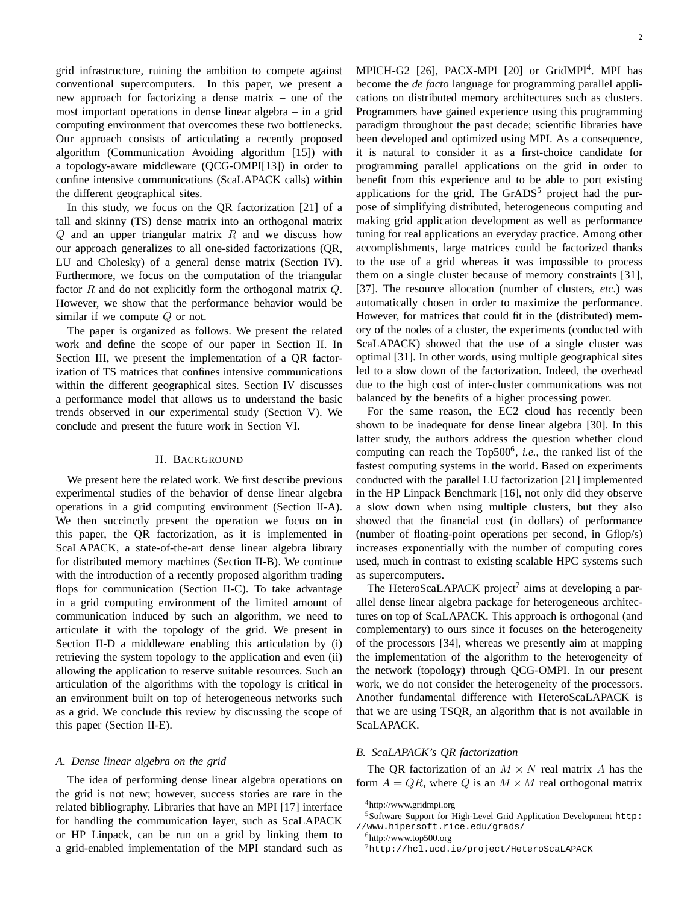grid infrastructure, ruining the ambition to compete against conventional supercomputers. In this paper, we present a new approach for factorizing a dense matrix – one of the most important operations in dense linear algebra – in a grid computing environment that overcomes these two bottlenecks. Our approach consists of articulating a recently proposed algorithm (Communication Avoiding algorithm [15]) with a topology-aware middleware (QCG-OMPI[13]) in order to confine intensive communications (ScaLAPACK calls) within the different geographical sites.

In this study, we focus on the QR factorization [21] of a tall and skinny (TS) dense matrix into an orthogonal matrix  $Q$  and an upper triangular matrix  $R$  and we discuss how our approach generalizes to all one-sided factorizations (QR, LU and Cholesky) of a general dense matrix (Section IV). Furthermore, we focus on the computation of the triangular factor  $R$  and do not explicitly form the orthogonal matrix  $Q$ . However, we show that the performance behavior would be similar if we compute  $Q$  or not.

The paper is organized as follows. We present the related work and define the scope of our paper in Section II. In Section III, we present the implementation of a QR factorization of TS matrices that confines intensive communications within the different geographical sites. Section IV discusses a performance model that allows us to understand the basic trends observed in our experimental study (Section V). We conclude and present the future work in Section VI.

## II. BACKGROUND

We present here the related work. We first describe previous experimental studies of the behavior of dense linear algebra operations in a grid computing environment (Section II-A). We then succinctly present the operation we focus on in this paper, the QR factorization, as it is implemented in ScaLAPACK, a state-of-the-art dense linear algebra library for distributed memory machines (Section II-B). We continue with the introduction of a recently proposed algorithm trading flops for communication (Section II-C). To take advantage in a grid computing environment of the limited amount of communication induced by such an algorithm, we need to articulate it with the topology of the grid. We present in Section II-D a middleware enabling this articulation by (i) retrieving the system topology to the application and even (ii) allowing the application to reserve suitable resources. Such an articulation of the algorithms with the topology is critical in an environment built on top of heterogeneous networks such as a grid. We conclude this review by discussing the scope of this paper (Section II-E).

## *A. Dense linear algebra on the grid*

The idea of performing dense linear algebra operations on the grid is not new; however, success stories are rare in the related bibliography. Libraries that have an MPI [17] interface for handling the communication layer, such as ScaLAPACK or HP Linpack, can be run on a grid by linking them to a grid-enabled implementation of the MPI standard such as

MPICH-G2 [26], PACX-MPI [20] or GridMPI<sup>4</sup>. MPI has become the *de facto* language for programming parallel applications on distributed memory architectures such as clusters. Programmers have gained experience using this programming paradigm throughout the past decade; scientific libraries have been developed and optimized using MPI. As a consequence, it is natural to consider it as a first-choice candidate for programming parallel applications on the grid in order to benefit from this experience and to be able to port existing applications for the grid. The  $GrADS<sup>5</sup>$  project had the purpose of simplifying distributed, heterogeneous computing and making grid application development as well as performance tuning for real applications an everyday practice. Among other accomplishments, large matrices could be factorized thanks to the use of a grid whereas it was impossible to process them on a single cluster because of memory constraints [31], [37]. The resource allocation (number of clusters, *etc.*) was automatically chosen in order to maximize the performance. However, for matrices that could fit in the (distributed) memory of the nodes of a cluster, the experiments (conducted with ScaLAPACK) showed that the use of a single cluster was optimal [31]. In other words, using multiple geographical sites led to a slow down of the factorization. Indeed, the overhead due to the high cost of inter-cluster communications was not balanced by the benefits of a higher processing power.

For the same reason, the EC2 cloud has recently been shown to be inadequate for dense linear algebra [30]. In this latter study, the authors address the question whether cloud computing can reach the Top500<sup>6</sup>, *i.e.*, the ranked list of the fastest computing systems in the world. Based on experiments conducted with the parallel LU factorization [21] implemented in the HP Linpack Benchmark [16], not only did they observe a slow down when using multiple clusters, but they also showed that the financial cost (in dollars) of performance (number of floating-point operations per second, in Gflop/s) increases exponentially with the number of computing cores used, much in contrast to existing scalable HPC systems such as supercomputers.

The HeteroScaLAPACK project<sup>7</sup> aims at developing a parallel dense linear algebra package for heterogeneous architectures on top of ScaLAPACK. This approach is orthogonal (and complementary) to ours since it focuses on the heterogeneity of the processors [34], whereas we presently aim at mapping the implementation of the algorithm to the heterogeneity of the network (topology) through QCG-OMPI. In our present work, we do not consider the heterogeneity of the processors. Another fundamental difference with HeteroScaLAPACK is that we are using TSQR, an algorithm that is not available in ScaLAPACK.

## *B. ScaLAPACK's QR factorization*

The QR factorization of an  $M \times N$  real matrix A has the form  $A = QR$ , where Q is an  $M \times M$  real orthogonal matrix

<sup>7</sup>http://hcl.ucd.ie/project/HeteroScaLAPACK

<sup>4</sup>http://www.gridmpi.org

<sup>5</sup>Software Support for High-Level Grid Application Development http: //www.hipersoft.rice.edu/grads/

<sup>6</sup>http://www.top500.org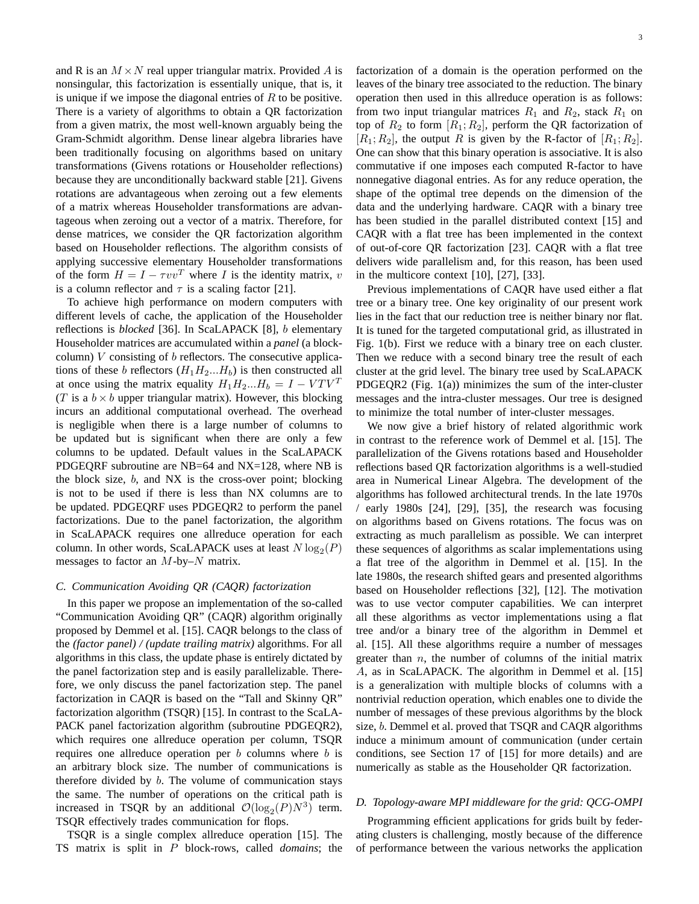and R is an  $M \times N$  real upper triangular matrix. Provided A is nonsingular, this factorization is essentially unique, that is, it is unique if we impose the diagonal entries of  $R$  to be positive. There is a variety of algorithms to obtain a QR factorization from a given matrix, the most well-known arguably being the Gram-Schmidt algorithm. Dense linear algebra libraries have been traditionally focusing on algorithms based on unitary transformations (Givens rotations or Householder reflections) because they are unconditionally backward stable [21]. Givens rotations are advantageous when zeroing out a few elements of a matrix whereas Householder transformations are advantageous when zeroing out a vector of a matrix. Therefore, for dense matrices, we consider the QR factorization algorithm based on Householder reflections. The algorithm consists of applying successive elementary Householder transformations of the form  $H = I - \tau v v^T$  where I is the identity matrix, v is a column reflector and  $\tau$  is a scaling factor [21].

To achieve high performance on modern computers with different levels of cache, the application of the Householder reflections is *blocked* [36]. In ScaLAPACK [8], b elementary Householder matrices are accumulated within a *panel* (a blockcolumn)  $V$  consisting of  $b$  reflectors. The consecutive applications of these b reflectors  $(H_1H_2...H_b)$  is then constructed all at once using the matrix equality  $H_1H_2...H_b = I - VTV^T$ (T is a  $b \times b$  upper triangular matrix). However, this blocking incurs an additional computational overhead. The overhead is negligible when there is a large number of columns to be updated but is significant when there are only a few columns to be updated. Default values in the ScaLAPACK PDGEQRF subroutine are NB=64 and NX=128, where NB is the block size,  $b$ , and NX is the cross-over point; blocking is not to be used if there is less than NX columns are to be updated. PDGEQRF uses PDGEQR2 to perform the panel factorizations. Due to the panel factorization, the algorithm in ScaLAPACK requires one allreduce operation for each column. In other words, ScaLAPACK uses at least  $N \log_2(P)$ messages to factor an  $M$ -by- $N$  matrix.

## *C. Communication Avoiding QR (CAQR) factorization*

In this paper we propose an implementation of the so-called "Communication Avoiding QR" (CAQR) algorithm originally proposed by Demmel et al. [15]. CAQR belongs to the class of the *(factor panel) / (update trailing matrix)* algorithms. For all algorithms in this class, the update phase is entirely dictated by the panel factorization step and is easily parallelizable. Therefore, we only discuss the panel factorization step. The panel factorization in CAQR is based on the "Tall and Skinny QR" factorization algorithm (TSQR) [15]. In contrast to the ScaLA-PACK panel factorization algorithm (subroutine PDGEQR2), which requires one allreduce operation per column, TSQR requires one allreduce operation per  $b$  columns where  $b$  is an arbitrary block size. The number of communications is therefore divided by b. The volume of communication stays the same. The number of operations on the critical path is increased in TSQR by an additional  $\mathcal{O}(\log_2(P)N^3)$  term. TSQR effectively trades communication for flops.

TSQR is a single complex allreduce operation [15]. The TS matrix is split in P block-rows, called *domains*; the factorization of a domain is the operation performed on the leaves of the binary tree associated to the reduction. The binary operation then used in this allreduce operation is as follows: from two input triangular matrices  $R_1$  and  $R_2$ , stack  $R_1$  on top of  $R_2$  to form  $[R_1; R_2]$ , perform the QR factorization of  $[R_1; R_2]$ , the output R is given by the R-factor of  $[R_1; R_2]$ . One can show that this binary operation is associative. It is also commutative if one imposes each computed R-factor to have nonnegative diagonal entries. As for any reduce operation, the shape of the optimal tree depends on the dimension of the data and the underlying hardware. CAQR with a binary tree has been studied in the parallel distributed context [15] and CAQR with a flat tree has been implemented in the context of out-of-core QR factorization [23]. CAQR with a flat tree delivers wide parallelism and, for this reason, has been used in the multicore context [10], [27], [33].

Previous implementations of CAQR have used either a flat tree or a binary tree. One key originality of our present work lies in the fact that our reduction tree is neither binary nor flat. It is tuned for the targeted computational grid, as illustrated in Fig. 1(b). First we reduce with a binary tree on each cluster. Then we reduce with a second binary tree the result of each cluster at the grid level. The binary tree used by ScaLAPACK PDGEQR2 (Fig. 1(a)) minimizes the sum of the inter-cluster messages and the intra-cluster messages. Our tree is designed to minimize the total number of inter-cluster messages.

We now give a brief history of related algorithmic work in contrast to the reference work of Demmel et al. [15]. The parallelization of the Givens rotations based and Householder reflections based QR factorization algorithms is a well-studied area in Numerical Linear Algebra. The development of the algorithms has followed architectural trends. In the late 1970s / early 1980s [24], [29], [35], the research was focusing on algorithms based on Givens rotations. The focus was on extracting as much parallelism as possible. We can interpret these sequences of algorithms as scalar implementations using a flat tree of the algorithm in Demmel et al. [15]. In the late 1980s, the research shifted gears and presented algorithms based on Householder reflections [32], [12]. The motivation was to use vector computer capabilities. We can interpret all these algorithms as vector implementations using a flat tree and/or a binary tree of the algorithm in Demmel et al. [15]. All these algorithms require a number of messages greater than  $n$ , the number of columns of the initial matrix A, as in ScaLAPACK. The algorithm in Demmel et al. [15] is a generalization with multiple blocks of columns with a nontrivial reduction operation, which enables one to divide the number of messages of these previous algorithms by the block size, b. Demmel et al. proved that TSQR and CAQR algorithms induce a minimum amount of communication (under certain conditions, see Section 17 of [15] for more details) and are numerically as stable as the Householder QR factorization.

# *D. Topology-aware MPI middleware for the grid: QCG-OMPI*

Programming efficient applications for grids built by federating clusters is challenging, mostly because of the difference of performance between the various networks the application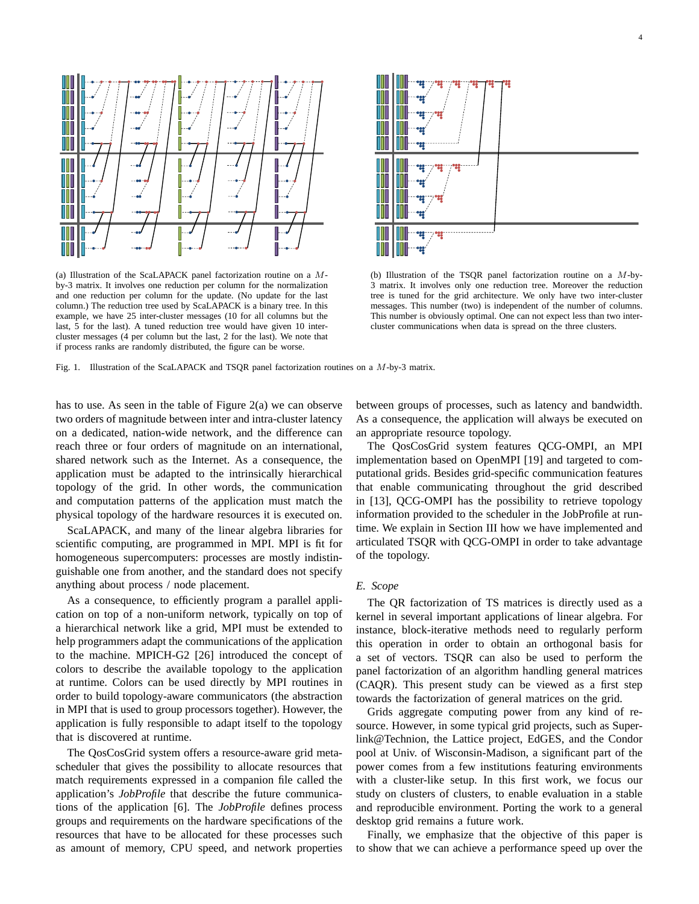

(a) Illustration of the ScaLAPACK panel factorization routine on a Mby-3 matrix. It involves one reduction per column for the normalization and one reduction per column for the update. (No update for the last column.) The reduction tree used by ScaLAPACK is a binary tree. In this example, we have 25 inter-cluster messages (10 for all columns but the last, 5 for the last). A tuned reduction tree would have given 10 intercluster messages (4 per column but the last, 2 for the last). We note that if process ranks are randomly distributed, the figure can be worse.



(b) Illustration of the TSQR panel factorization routine on a M-by-3 matrix. It involves only one reduction tree. Moreover the reduction tree is tuned for the grid architecture. We only have two inter-cluster messages. This number (two) is independent of the number of columns. This number is obviously optimal. One can not expect less than two intercluster communications when data is spread on the three clusters.

Fig. 1. Illustration of the ScaLAPACK and TSQR panel factorization routines on a M-by-3 matrix.

has to use. As seen in the table of Figure 2(a) we can observe two orders of magnitude between inter and intra-cluster latency on a dedicated, nation-wide network, and the difference can reach three or four orders of magnitude on an international, shared network such as the Internet. As a consequence, the application must be adapted to the intrinsically hierarchical topology of the grid. In other words, the communication and computation patterns of the application must match the physical topology of the hardware resources it is executed on.

ScaLAPACK, and many of the linear algebra libraries for scientific computing, are programmed in MPI. MPI is fit for homogeneous supercomputers: processes are mostly indistinguishable one from another, and the standard does not specify anything about process / node placement.

As a consequence, to efficiently program a parallel application on top of a non-uniform network, typically on top of a hierarchical network like a grid, MPI must be extended to help programmers adapt the communications of the application to the machine. MPICH-G2 [26] introduced the concept of colors to describe the available topology to the application at runtime. Colors can be used directly by MPI routines in order to build topology-aware communicators (the abstraction in MPI that is used to group processors together). However, the application is fully responsible to adapt itself to the topology that is discovered at runtime.

The QosCosGrid system offers a resource-aware grid metascheduler that gives the possibility to allocate resources that match requirements expressed in a companion file called the application's *JobProfile* that describe the future communications of the application [6]. The *JobProfile* defines process groups and requirements on the hardware specifications of the resources that have to be allocated for these processes such as amount of memory, CPU speed, and network properties between groups of processes, such as latency and bandwidth. As a consequence, the application will always be executed on an appropriate resource topology.

The QosCosGrid system features QCG-OMPI, an MPI implementation based on OpenMPI [19] and targeted to computational grids. Besides grid-specific communication features that enable communicating throughout the grid described in [13], QCG-OMPI has the possibility to retrieve topology information provided to the scheduler in the JobProfile at runtime. We explain in Section III how we have implemented and articulated TSQR with QCG-OMPI in order to take advantage of the topology.

# *E. Scope*

The QR factorization of TS matrices is directly used as a kernel in several important applications of linear algebra. For instance, block-iterative methods need to regularly perform this operation in order to obtain an orthogonal basis for a set of vectors. TSQR can also be used to perform the panel factorization of an algorithm handling general matrices (CAQR). This present study can be viewed as a first step towards the factorization of general matrices on the grid.

Grids aggregate computing power from any kind of resource. However, in some typical grid projects, such as Superlink@Technion, the Lattice project, EdGES, and the Condor pool at Univ. of Wisconsin-Madison, a significant part of the power comes from a few institutions featuring environments with a cluster-like setup. In this first work, we focus our study on clusters of clusters, to enable evaluation in a stable and reproducible environment. Porting the work to a general desktop grid remains a future work.

Finally, we emphasize that the objective of this paper is to show that we can achieve a performance speed up over the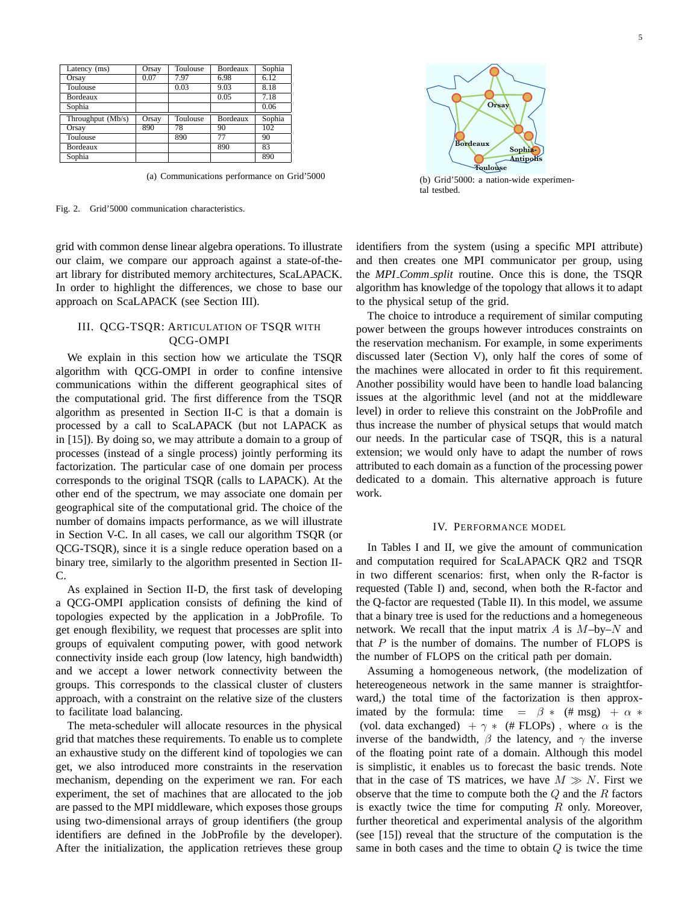| Latency (ms)        | Orsay | Toulouse | Bordeaux | Sophia |
|---------------------|-------|----------|----------|--------|
| Orsay               | 0.07  | 7.97     | 6.98     | 6.12   |
| Toulouse            |       | 0.03     | 9.03     | 8.18   |
| Bordeaux            |       |          | 0.05     | 7.18   |
| Sophia              |       |          |          | 0.06   |
|                     |       |          |          |        |
| Throughput $(Mb/s)$ | Orsay | Toulouse | Bordeaux | Sophia |
| Orsay               | 890   | 78       | 90       | 102    |
| Toulouse            |       | 890      | 77       | 90     |
| Bordeaux            |       |          | 890      | 83     |

(a) Communications performance on Grid'5000

Fig. 2. Grid'5000 communication characteristics.

grid with common dense linear algebra operations. To illustrate our claim, we compare our approach against a state-of-theart library for distributed memory architectures, ScaLAPACK. In order to highlight the differences, we chose to base our approach on ScaLAPACK (see Section III).

# III. QCG-TSQR: ARTICULATION OF TSQR WITH QCG-OMPI

We explain in this section how we articulate the TSQR algorithm with QCG-OMPI in order to confine intensive communications within the different geographical sites of the computational grid. The first difference from the TSQR algorithm as presented in Section II-C is that a domain is processed by a call to ScaLAPACK (but not LAPACK as in [15]). By doing so, we may attribute a domain to a group of processes (instead of a single process) jointly performing its factorization. The particular case of one domain per process corresponds to the original TSQR (calls to LAPACK). At the other end of the spectrum, we may associate one domain per geographical site of the computational grid. The choice of the number of domains impacts performance, as we will illustrate in Section V-C. In all cases, we call our algorithm TSQR (or QCG-TSQR), since it is a single reduce operation based on a binary tree, similarly to the algorithm presented in Section II-C.

As explained in Section II-D, the first task of developing a QCG-OMPI application consists of defining the kind of topologies expected by the application in a JobProfile. To get enough flexibility, we request that processes are split into groups of equivalent computing power, with good network connectivity inside each group (low latency, high bandwidth) and we accept a lower network connectivity between the groups. This corresponds to the classical cluster of clusters approach, with a constraint on the relative size of the clusters to facilitate load balancing.

The meta-scheduler will allocate resources in the physical grid that matches these requirements. To enable us to complete an exhaustive study on the different kind of topologies we can get, we also introduced more constraints in the reservation mechanism, depending on the experiment we ran. For each experiment, the set of machines that are allocated to the job are passed to the MPI middleware, which exposes those groups using two-dimensional arrays of group identifiers (the group identifiers are defined in the JobProfile by the developer). After the initialization, the application retrieves these group



The choice to introduce a requirement of similar computing power between the groups however introduces constraints on the reservation mechanism. For example, in some experiments discussed later (Section V), only half the cores of some of the machines were allocated in order to fit this requirement. Another possibility would have been to handle load balancing issues at the algorithmic level (and not at the middleware level) in order to relieve this constraint on the JobProfile and thus increase the number of physical setups that would match our needs. In the particular case of TSQR, this is a natural extension; we would only have to adapt the number of rows attributed to each domain as a function of the processing power dedicated to a domain. This alternative approach is future work.

## IV. PERFORMANCE MODEL

In Tables I and II, we give the amount of communication and computation required for ScaLAPACK QR2 and TSQR in two different scenarios: first, when only the R-factor is requested (Table I) and, second, when both the R-factor and the Q-factor are requested (Table II). In this model, we assume that a binary tree is used for the reductions and a homegeneous network. We recall that the input matrix  $A$  is  $M$ -by- $N$  and that  $P$  is the number of domains. The number of FLOPS is the number of FLOPS on the critical path per domain.

Assuming a homogeneous network, (the modelization of hetereogeneous network in the same manner is straightforward,) the total time of the factorization is then approximated by the formula: time =  $\beta *$  (# msg) +  $\alpha *$ (vol. data exchanged) +  $\gamma$   $*$  (# FLOPs), where  $\alpha$  is the inverse of the bandwidth,  $\beta$  the latency, and  $\gamma$  the inverse of the floating point rate of a domain. Although this model is simplistic, it enables us to forecast the basic trends. Note that in the case of TS matrices, we have  $M \gg N$ . First we observe that the time to compute both the  $Q$  and the  $R$  factors is exactly twice the time for computing  $R$  only. Moreover, further theoretical and experimental analysis of the algorithm (see [15]) reveal that the structure of the computation is the same in both cases and the time to obtain  $Q$  is twice the time

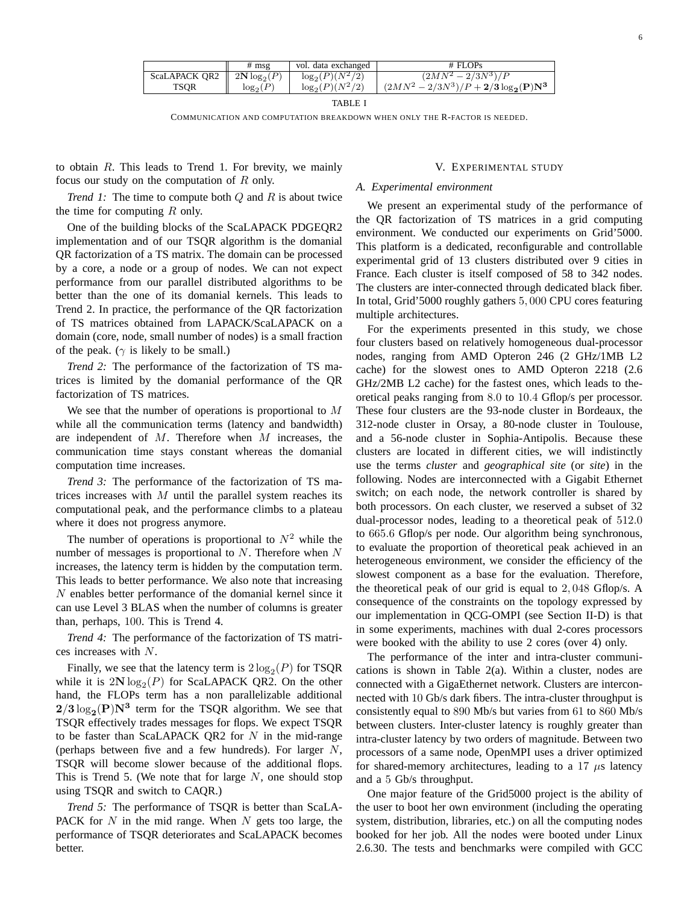|                                         | $#$ msg    | vol. data exchanged | # FLOPs                                  |
|-----------------------------------------|------------|---------------------|------------------------------------------|
| ScaLAPACK QR2 $\parallel$ 2N $log_2(P)$ |            | $\log_2(P)(N^2/2)$  | $(2MN^2 - 2/3N^3)/P$                     |
| TSOR                                    | $log_2(P)$ | $\log_2(P)(N^2/2)$  | $(2MN^2 - 2/3N^3)/P + 2/3 \log_2(P) N^3$ |

TABLE I

COMMUNICATION AND COMPUTATION BREAKDOWN WHEN ONLY THE R-FACTOR IS NEEDED.

to obtain R. This leads to Trend 1. For brevity, we mainly focus our study on the computation of  $R$  only.

*Trend 1:* The time to compute both Q and R is about twice the time for computing  $R$  only.

One of the building blocks of the ScaLAPACK PDGEQR2 implementation and of our TSQR algorithm is the domanial QR factorization of a TS matrix. The domain can be processed by a core, a node or a group of nodes. We can not expect performance from our parallel distributed algorithms to be better than the one of its domanial kernels. This leads to Trend 2. In practice, the performance of the QR factorization of TS matrices obtained from LAPACK/ScaLAPACK on a domain (core, node, small number of nodes) is a small fraction of the peak. ( $\gamma$  is likely to be small.)

*Trend 2:* The performance of the factorization of TS matrices is limited by the domanial performance of the QR factorization of TS matrices.

We see that the number of operations is proportional to  $M$ while all the communication terms (latency and bandwidth) are independent of  $M$ . Therefore when  $M$  increases, the communication time stays constant whereas the domanial computation time increases.

*Trend 3:* The performance of the factorization of TS matrices increases with  $M$  until the parallel system reaches its computational peak, and the performance climbs to a plateau where it does not progress anymore.

The number of operations is proportional to  $N^2$  while the number of messages is proportional to  $N$ . Therefore when  $N$ increases, the latency term is hidden by the computation term. This leads to better performance. We also note that increasing N enables better performance of the domanial kernel since it can use Level 3 BLAS when the number of columns is greater than, perhaps, 100. This is Trend 4.

*Trend 4:* The performance of the factorization of TS matrices increases with N.

Finally, we see that the latency term is  $2\log_2(P)$  for TSQR while it is  $2N \log_2(P)$  for ScaLAPACK QR2. On the other hand, the FLOPs term has a non parallelizable additional  $2/3 \log_2(P) N^3$  term for the TSQR algorithm. We see that TSQR effectively trades messages for flops. We expect TSQR to be faster than ScaLAPACK QR2 for  $N$  in the mid-range (perhaps between five and a few hundreds). For larger N, TSQR will become slower because of the additional flops. This is Trend 5. (We note that for large  $N$ , one should stop using TSQR and switch to CAQR.)

*Trend 5:* The performance of TSQR is better than ScaLA-PACK for  $N$  in the mid range. When  $N$  gets too large, the performance of TSQR deteriorates and ScaLAPACK becomes better.

#### V. EXPERIMENTAL STUDY

## *A. Experimental environment*

We present an experimental study of the performance of the QR factorization of TS matrices in a grid computing environment. We conducted our experiments on Grid'5000. This platform is a dedicated, reconfigurable and controllable experimental grid of 13 clusters distributed over 9 cities in France. Each cluster is itself composed of 58 to 342 nodes. The clusters are inter-connected through dedicated black fiber. In total, Grid'5000 roughly gathers 5, 000 CPU cores featuring multiple architectures.

For the experiments presented in this study, we chose four clusters based on relatively homogeneous dual-processor nodes, ranging from AMD Opteron 246 (2 GHz/1MB L2 cache) for the slowest ones to AMD Opteron 2218 (2.6 GHz/2MB L2 cache) for the fastest ones, which leads to theoretical peaks ranging from 8.0 to 10.4 Gflop/s per processor. These four clusters are the 93-node cluster in Bordeaux, the 312-node cluster in Orsay, a 80-node cluster in Toulouse, and a 56-node cluster in Sophia-Antipolis. Because these clusters are located in different cities, we will indistinctly use the terms *cluster* and *geographical site* (or *site*) in the following. Nodes are interconnected with a Gigabit Ethernet switch; on each node, the network controller is shared by both processors. On each cluster, we reserved a subset of 32 dual-processor nodes, leading to a theoretical peak of 512.0 to 665.6 Gflop/s per node. Our algorithm being synchronous, to evaluate the proportion of theoretical peak achieved in an heterogeneous environment, we consider the efficiency of the slowest component as a base for the evaluation. Therefore, the theoretical peak of our grid is equal to 2, 048 Gflop/s. A consequence of the constraints on the topology expressed by our implementation in QCG-OMPI (see Section II-D) is that in some experiments, machines with dual 2-cores processors were booked with the ability to use 2 cores (over 4) only.

The performance of the inter and intra-cluster communications is shown in Table  $2(a)$ . Within a cluster, nodes are connected with a GigaEthernet network. Clusters are interconnected with 10 Gb/s dark fibers. The intra-cluster throughput is consistently equal to 890 Mb/s but varies from 61 to 860 Mb/s between clusters. Inter-cluster latency is roughly greater than intra-cluster latency by two orders of magnitude. Between two processors of a same node, OpenMPI uses a driver optimized for shared-memory architectures, leading to a 17  $\mu$ s latency and a 5 Gb/s throughput.

One major feature of the Grid5000 project is the ability of the user to boot her own environment (including the operating system, distribution, libraries, etc.) on all the computing nodes booked for her job. All the nodes were booted under Linux 2.6.30. The tests and benchmarks were compiled with GCC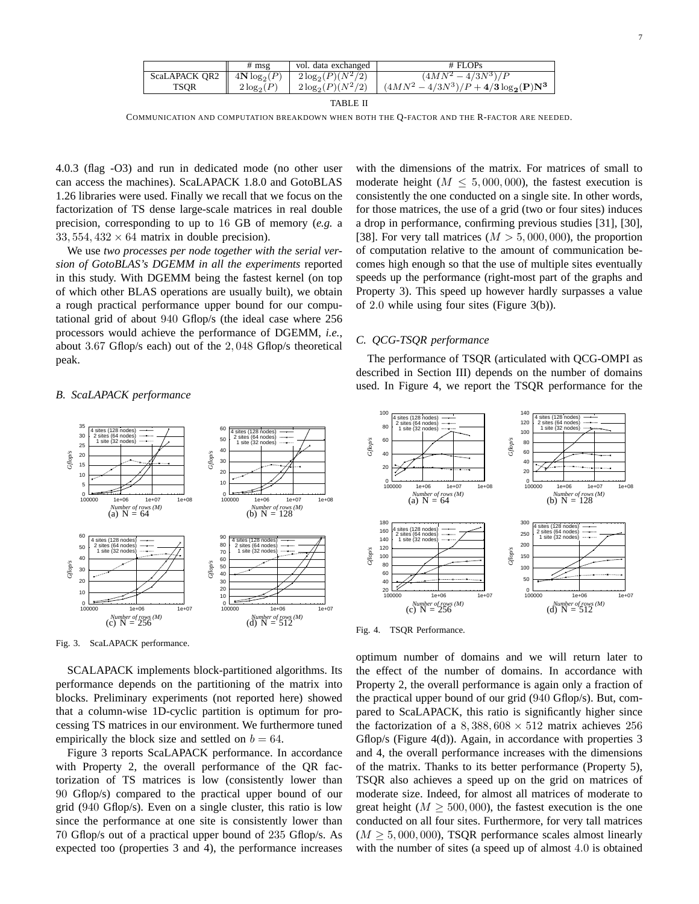|                      | $#$ msg        | vol. data exchanged | # FLOPs                                 |  |  |
|----------------------|----------------|---------------------|-----------------------------------------|--|--|
| <b>ScaLAPACK OR2</b> | $4N \log_2(P)$ | $2\log_2(P)(N^2/2)$ | $(4MN^2 - 4/3N^3)/P$                    |  |  |
| <b>TSOR</b>          | $2\log_2(P)$   | $2\log_2(P)(N^2/2)$ | $(4MN^2 - 4/3N^3)/P + 4/3 \log_2(P)N^3$ |  |  |
| TABLE II             |                |                     |                                         |  |  |

COMMUNICATION AND COMPUTATION BREAKDOWN WHEN BOTH THE Q-FACTOR AND THE R-FACTOR ARE NEEDED.

4.0.3 (flag -O3) and run in dedicated mode (no other user can access the machines). ScaLAPACK 1.8.0 and GotoBLAS 1.26 libraries were used. Finally we recall that we focus on the factorization of TS dense large-scale matrices in real double precision, corresponding to up to 16 GB of memory (*e.g.* a  $33,554,432 \times 64$  matrix in double precision).

We use *two processes per node together with the serial version of GotoBLAS's DGEMM in all the experiments* reported in this study. With DGEMM being the fastest kernel (on top of which other BLAS operations are usually built), we obtain a rough practical performance upper bound for our computational grid of about 940 Gflop/s (the ideal case where 256 processors would achieve the performance of DGEMM, *i.e.*, about 3.67 Gflop/s each) out of the 2, 048 Gflop/s theoretical peak.

# *B. ScaLAPACK performance*



Fig. 3. ScaLAPACK performance.

SCALAPACK implements block-partitioned algorithms. Its performance depends on the partitioning of the matrix into blocks. Preliminary experiments (not reported here) showed that a column-wise 1D-cyclic partition is optimum for processing TS matrices in our environment. We furthermore tuned empirically the block size and settled on  $b = 64$ .

Figure 3 reports ScaLAPACK performance. In accordance with Property 2, the overall performance of the QR factorization of TS matrices is low (consistently lower than 90 Gflop/s) compared to the practical upper bound of our grid (940 Gflop/s). Even on a single cluster, this ratio is low since the performance at one site is consistently lower than 70 Gflop/s out of a practical upper bound of 235 Gflop/s. As expected too (properties 3 and 4), the performance increases

with the dimensions of the matrix. For matrices of small to moderate height ( $M \leq 5,000,000$ ), the fastest execution is consistently the one conducted on a single site. In other words, for those matrices, the use of a grid (two or four sites) induces a drop in performance, confirming previous studies [31], [30], [38]. For very tall matrices  $(M > 5,000,000)$ , the proportion of computation relative to the amount of communication becomes high enough so that the use of multiple sites eventually speeds up the performance (right-most part of the graphs and Property 3). This speed up however hardly surpasses a value of 2.0 while using four sites (Figure 3(b)).

# *C. QCG-TSQR performance*

The performance of TSQR (articulated with QCG-OMPI as described in Section III) depends on the number of domains used. In Figure 4, we report the TSQR performance for the



Fig. 4. TSQR Performance.

optimum number of domains and we will return later to the effect of the number of domains. In accordance with Property 2, the overall performance is again only a fraction of the practical upper bound of our grid (940 Gflop/s). But, compared to ScaLAPACK, this ratio is significantly higher since the factorization of a 8, 388,  $608 \times 512$  matrix achieves 256 Gflop/s (Figure 4(d)). Again, in accordance with properties 3 and 4, the overall performance increases with the dimensions of the matrix. Thanks to its better performance (Property 5), TSQR also achieves a speed up on the grid on matrices of moderate size. Indeed, for almost all matrices of moderate to great height ( $M \geq 500,000$ ), the fastest execution is the one conducted on all four sites. Furthermore, for very tall matrices  $(M \geq 5,000,000)$ , TSQR performance scales almost linearly with the number of sites (a speed up of almost 4.0 is obtained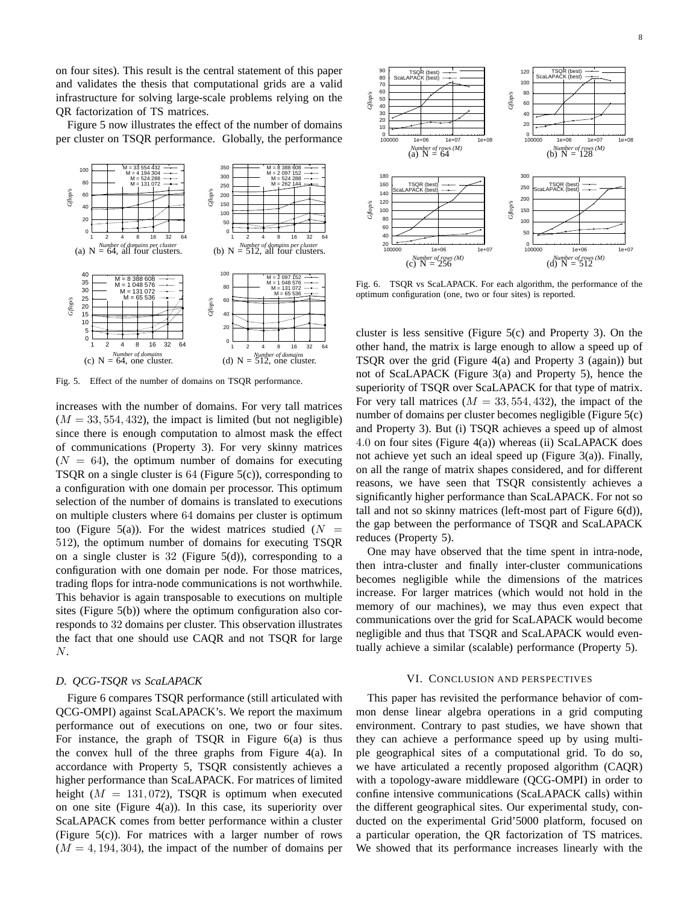on four sites). This result is the central statement of this paper and validates the thesis that computational grids are a valid infrastructure for solving large-scale problems relying on the QR factorization of TS matrices.

Figure 5 now illustrates the effect of the number of domains per cluster on TSQR performance. Globally, the performance



Fig. 5. Effect of the number of domains on TSQR performance.

increases with the number of domains. For very tall matrices  $(M = 33, 554, 432)$ , the impact is limited (but not negligible) since there is enough computation to almost mask the effect of communications (Property 3). For very skinny matrices  $(N = 64)$ , the optimum number of domains for executing TSQR on a single cluster is 64 (Figure 5(c)), corresponding to a configuration with one domain per processor. This optimum selection of the number of domains is translated to executions on multiple clusters where 64 domains per cluster is optimum too (Figure 5(a)). For the widest matrices studied ( $N =$ 512), the optimum number of domains for executing TSQR on a single cluster is  $32$  (Figure 5(d)), corresponding to a configuration with one domain per node. For those matrices, trading flops for intra-node communications is not worthwhile. This behavior is again transposable to executions on multiple sites (Figure 5(b)) where the optimum configuration also corresponds to 32 domains per cluster. This observation illustrates the fact that one should use CAQR and not TSQR for large N.

## *D. QCG-TSQR vs ScaLAPACK*

Figure 6 compares TSQR performance (still articulated with QCG-OMPI) against ScaLAPACK's. We report the maximum performance out of executions on one, two or four sites. For instance, the graph of TSQR in Figure 6(a) is thus the convex hull of the three graphs from Figure  $4(a)$ . In accordance with Property 5, TSQR consistently achieves a higher performance than ScaLAPACK. For matrices of limited height ( $M = 131,072$ ), TSQR is optimum when executed on one site (Figure  $4(a)$ ). In this case, its superiority over ScaLAPACK comes from better performance within a cluster (Figure 5(c)). For matrices with a larger number of rows  $(M = 4, 194, 304)$ , the impact of the number of domains per



Fig. 6. TSQR vs ScaLAPACK. For each algorithm, the performance of the optimum configuration (one, two or four sites) is reported.

cluster is less sensitive (Figure 5(c) and Property 3). On the other hand, the matrix is large enough to allow a speed up of TSQR over the grid (Figure 4(a) and Property 3 (again)) but not of ScaLAPACK (Figure 3(a) and Property 5), hence the superiority of TSQR over ScaLAPACK for that type of matrix. For very tall matrices  $(M = 33, 554, 432)$ , the impact of the number of domains per cluster becomes negligible (Figure 5(c) and Property 3). But (i) TSQR achieves a speed up of almost 4.0 on four sites (Figure 4(a)) whereas (ii) ScaLAPACK does not achieve yet such an ideal speed up (Figure 3(a)). Finally, on all the range of matrix shapes considered, and for different reasons, we have seen that TSQR consistently achieves a significantly higher performance than ScaLAPACK. For not so tall and not so skinny matrices (left-most part of Figure 6(d)), the gap between the performance of TSQR and ScaLAPACK reduces (Property 5).

One may have observed that the time spent in intra-node, then intra-cluster and finally inter-cluster communications becomes negligible while the dimensions of the matrices increase. For larger matrices (which would not hold in the memory of our machines), we may thus even expect that communications over the grid for ScaLAPACK would become negligible and thus that TSQR and ScaLAPACK would eventually achieve a similar (scalable) performance (Property 5).

#### VI. CONCLUSION AND PERSPECTIVES

This paper has revisited the performance behavior of common dense linear algebra operations in a grid computing environment. Contrary to past studies, we have shown that they can achieve a performance speed up by using multiple geographical sites of a computational grid. To do so, we have articulated a recently proposed algorithm (CAQR) with a topology-aware middleware (QCG-OMPI) in order to confine intensive communications (ScaLAPACK calls) within the different geographical sites. Our experimental study, conducted on the experimental Grid'5000 platform, focused on a particular operation, the QR factorization of TS matrices. We showed that its performance increases linearly with the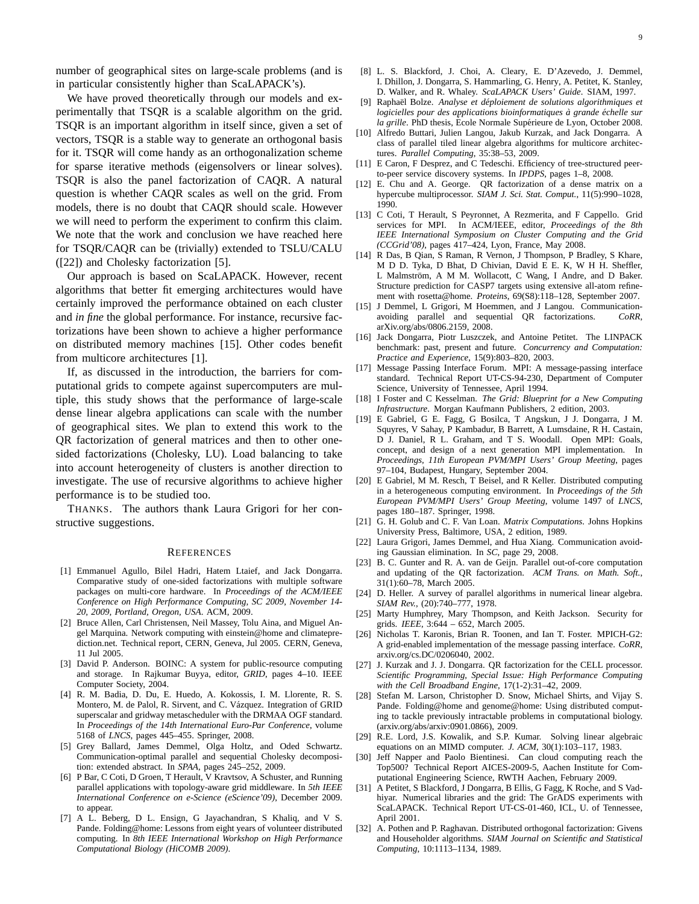number of geographical sites on large-scale problems (and is in particular consistently higher than ScaLAPACK's).

We have proved theoretically through our models and experimentally that TSQR is a scalable algorithm on the grid. TSQR is an important algorithm in itself since, given a set of vectors, TSQR is a stable way to generate an orthogonal basis for it. TSQR will come handy as an orthogonalization scheme for sparse iterative methods (eigensolvers or linear solves). TSQR is also the panel factorization of CAQR. A natural question is whether CAQR scales as well on the grid. From models, there is no doubt that CAQR should scale. However we will need to perform the experiment to confirm this claim. We note that the work and conclusion we have reached here for TSQR/CAQR can be (trivially) extended to TSLU/CALU ([22]) and Cholesky factorization [5].

Our approach is based on ScaLAPACK. However, recent algorithms that better fit emerging architectures would have certainly improved the performance obtained on each cluster and *in fine* the global performance. For instance, recursive factorizations have been shown to achieve a higher performance on distributed memory machines [15]. Other codes benefit from multicore architectures [1].

If, as discussed in the introduction, the barriers for computational grids to compete against supercomputers are multiple, this study shows that the performance of large-scale dense linear algebra applications can scale with the number of geographical sites. We plan to extend this work to the QR factorization of general matrices and then to other onesided factorizations (Cholesky, LU). Load balancing to take into account heterogeneity of clusters is another direction to investigate. The use of recursive algorithms to achieve higher performance is to be studied too.

THANKS. The authors thank Laura Grigori for her constructive suggestions.

#### **REFERENCES**

- [1] Emmanuel Agullo, Bilel Hadri, Hatem Ltaief, and Jack Dongarra. Comparative study of one-sided factorizations with multiple software packages on multi-core hardware. In *Proceedings of the ACM/IEEE Conference on High Performance Computing, SC 2009, November 14- 20, 2009, Portland, Oregon, USA*. ACM, 2009.
- [2] Bruce Allen, Carl Christensen, Neil Massey, Tolu Aina, and Miguel Angel Marquina. Network computing with einstein@home and climateprediction.net. Technical report, CERN, Geneva, Jul 2005. CERN, Geneva, 11 Jul 2005.
- [3] David P. Anderson. BOINC: A system for public-resource computing and storage. In Rajkumar Buyya, editor, *GRID*, pages 4–10. IEEE Computer Society, 2004.
- [4] R. M. Badia, D. Du, E. Huedo, A. Kokossis, I. M. Llorente, R. S. Montero, M. de Palol, R. Sirvent, and C. Vázquez. Integration of GRID superscalar and gridway metascheduler with the DRMAA OGF standard. In *Proceedings of the 14th International Euro-Par Conference*, volume 5168 of *LNCS*, pages 445–455. Springer, 2008.
- [5] Grey Ballard, James Demmel, Olga Holtz, and Oded Schwartz. Communication-optimal parallel and sequential Cholesky decomposition: extended abstract. In *SPAA*, pages 245–252, 2009.
- [6] P Bar, C Coti, D Groen, T Herault, V Kravtsov, A Schuster, and Running parallel applications with topology-aware grid middleware. In *5th IEEE International Conference on e-Science (eScience'09)*, December 2009. to appear.
- [7] A L. Beberg, D L. Ensign, G Jayachandran, S Khaliq, and V S. Pande. Folding@home: Lessons from eight years of volunteer distributed computing. In *8th IEEE International Workshop on High Performance Computational Biology (HiCOMB 2009)*.
- [8] L. S. Blackford, J. Choi, A. Cleary, E. D'Azevedo, J. Demmel, I. Dhillon, J. Dongarra, S. Hammarling, G. Henry, A. Petitet, K. Stanley, D. Walker, and R. Whaley. *ScaLAPACK Users' Guide*. SIAM, 1997.
- [9] Raphael Bolze. ¨ *Analyse et deploiement de solutions algorithmiques et ´ logicielles pour des applications bioinformatiques a grande ` echelle sur ´ la grille*. PhD thesis, École Normale Supérieure de Lyon, October 2008.
- [10] Alfredo Buttari, Julien Langou, Jakub Kurzak, and Jack Dongarra. A class of parallel tiled linear algebra algorithms for multicore architectures. *Parallel Computing*, 35:38–53, 2009.
- [11] E Caron, F Desprez, and C Tedeschi. Efficiency of tree-structured peerto-peer service discovery systems. In *IPDPS*, pages 1–8, 2008.
- [12] E. Chu and A. George. QR factorization of a dense matrix on a hypercube multiprocessor. *SIAM J. Sci. Stat. Comput.*, 11(5):990–1028, 1990.
- [13] C Coti, T Herault, S Peyronnet, A Rezmerita, and F Cappello. Grid services for MPI. In ACM/IEEE, editor, *Proceedings of the 8th IEEE International Symposium on Cluster Computing and the Grid (CCGrid'08)*, pages 417–424, Lyon, France, May 2008.
- [14] R Das, B Qian, S Raman, R Vernon, J Thompson, P Bradley, S Khare, M D D. Tyka, D Bhat, D Chivian, David E E. K, W H H. Sheffler, L Malmström, A M M. Wollacott, C Wang, I Andre, and D Baker. Structure prediction for CASP7 targets using extensive all-atom refinement with rosetta@home. *Proteins*, 69(S8):118–128, September 2007.
- [15] J Demmel, L Grigori, M Hoemmen, and J Langou. Communicationavoiding parallel and sequential QR factorizations. *CoRR*, arXiv.org/abs/0806.2159, 2008.
- [16] Jack Dongarra, Piotr Luszczek, and Antoine Petitet. The LINPACK benchmark: past, present and future. *Concurrency and Computation: Practice and Experience*, 15(9):803–820, 2003.
- [17] Message Passing Interface Forum. MPI: A message-passing interface standard. Technical Report UT-CS-94-230, Department of Computer Science, University of Tennessee, April 1994.
- [18] I Foster and C Kesselman. *The Grid: Blueprint for a New Computing Infrastructure*. Morgan Kaufmann Publishers, 2 edition, 2003.
- [19] E Gabriel, G E. Fagg, G Bosilca, T Angskun, J J. Dongarra, J M. Squyres, V Sahay, P Kambadur, B Barrett, A Lumsdaine, R H. Castain, D J. Daniel, R L. Graham, and T S. Woodall. Open MPI: Goals, concept, and design of a next generation MPI implementation. In *Proceedings, 11th European PVM/MPI Users' Group Meeting*, pages 97–104, Budapest, Hungary, September 2004.
- [20] E Gabriel, M M. Resch, T Beisel, and R Keller. Distributed computing in a heterogeneous computing environment. In *Proceedings of the 5th European PVM/MPI Users' Group Meeting*, volume 1497 of *LNCS*, pages 180–187. Springer, 1998.
- [21] G. H. Golub and C. F. Van Loan. *Matrix Computations*. Johns Hopkins University Press, Baltimore, USA, 2 edition, 1989.
- [22] Laura Grigori, James Demmel, and Hua Xiang. Communication avoiding Gaussian elimination. In *SC*, page 29, 2008.
- [23] B. C. Gunter and R. A. van de Geijn. Parallel out-of-core computation and updating of the QR factorization. *ACM Trans. on Math. Soft.*, 31(1):60–78, March 2005.
- [24] D. Heller. A survey of parallel algorithms in numerical linear algebra. *SIAM Rev.*, (20):740–777, 1978.
- [25] Marty Humphrey, Mary Thompson, and Keith Jackson. Security for grids. *IEEE*, 3:644 – 652, March 2005.
- [26] Nicholas T. Karonis, Brian R. Toonen, and Ian T. Foster. MPICH-G2: A grid-enabled implementation of the message passing interface. *CoRR*, arxiv.org/cs.DC/0206040, 2002.
- [27] J. Kurzak and J. J. Dongarra. QR factorization for the CELL processor. *Scientific Programming, Special Issue: High Performance Computing with the Cell Broadband Engine*, 17(1-2):31–42, 2009.
- [28] Stefan M. Larson, Christopher D. Snow, Michael Shirts, and Vijay S. Pande. Folding@home and genome@home: Using distributed computing to tackle previously intractable problems in computational biology. (arxiv.org/abs/arxiv:0901.0866), 2009.
- [29] R.E. Lord, J.S. Kowalik, and S.P. Kumar. Solving linear algebraic equations on an MIMD computer. *J. ACM*, 30(1):103–117, 1983.
- [30] Jeff Napper and Paolo Bientinesi. Can cloud computing reach the Top500? Technical Report AICES-2009-5, Aachen Institute for Computational Engineering Science, RWTH Aachen, February 2009.
- [31] A Petitet, S Blackford, J Dongarra, B Ellis, G Fagg, K Roche, and S Vadhiyar. Numerical libraries and the grid: The GrADS experiments with ScaLAPACK. Technical Report UT-CS-01-460, ICL, U. of Tennessee, April 2001.
- [32] A. Pothen and P. Raghavan. Distributed orthogonal factorization: Givens and Householder algorithms. *SIAM Journal on Scientific and Statistical Computing*, 10:1113–1134, 1989.